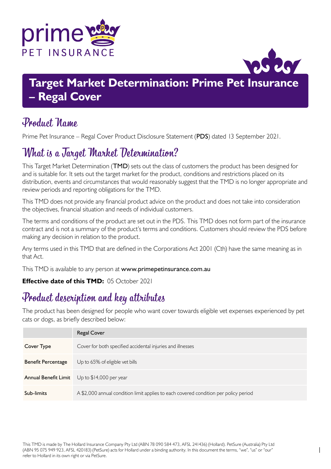



## **Target Market Determination: Prime Pet Insurance – Regal Cover**

### Product Name

Prime Pet Insurance – Regal Cover Product Disclosure Statement (PDS) dated 13 September 2021.

# What is a Target Market Determination?

This Target Market Determination (TMD) sets out the class of customers the product has been designed for and is suitable for. It sets out the target market for the product, conditions and restrictions placed on its distribution, events and circumstances that would reasonably suggest that the TMD is no longer appropriate and review periods and reporting obligations for the TMD.

This TMD does not provide any financial product advice on the product and does not take into consideration the objectives, financial situation and needs of individual customers.

The terms and conditions of the product are set out in the PDS. This TMD does not form part of the insurance contract and is not a summary of the product's terms and conditions. Customers should review the PDS before making any decision in relation to the product.

Any terms used in this TMD that are defined in the Corporations Act 2001 (Cth) have the same meaning as in that Act.

This TMD is available to any person at <www.primepetinsurance.com.au>

#### **Effective date of this TMD:** 05 October 2021

# Product description and key attributes

The product has been designed for people who want cover towards eligible vet expenses experienced by pet cats or dogs, as briefly described below:

|                           | <b>Regal Cover</b>                                                                   |
|---------------------------|--------------------------------------------------------------------------------------|
| Cover Type                | Cover for both specified accidental injuries and illnesses                           |
| <b>Benefit Percentage</b> | Up to 65% of eligible vet bills                                                      |
| Annual Benefit Limit      | Up to $$14,000$ per year                                                             |
| Sub-limits                | A \$2,000 annual condition limit applies to each covered condition per policy period |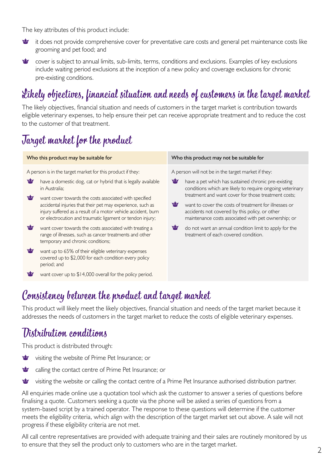The key attributes of this product include:

- 雪 it does not provide comprehensive cover for preventative care costs and general pet maintenance costs like grooming and pet food; and
- **<u>vity</u>** cover is subject to annual limits, sub-limits, terms, conditions and exclusions. Examples of key exclusions include waiting period exclusions at the inception of a new policy and coverage exclusions for chronic pre-existing conditions.

# Likely objectives, financial situation and needs of customers in the target market

The likely objectives, financial situation and needs of customers in the target market is contribution towards eligible veterinary expenses, to help ensure their pet can receive appropriate treatment and to reduce the cost to the customer of that treatment.

# Target market for the product

| Who this product may be suitable for |                                                                                                                                                                                                                                                                                                                                                                                                                                                                                                                                                                                                                      |             | Who this product may not be suitable for                                                                                                                                                                                                                                                                                                                                                                                                                                                          |
|--------------------------------------|----------------------------------------------------------------------------------------------------------------------------------------------------------------------------------------------------------------------------------------------------------------------------------------------------------------------------------------------------------------------------------------------------------------------------------------------------------------------------------------------------------------------------------------------------------------------------------------------------------------------|-------------|---------------------------------------------------------------------------------------------------------------------------------------------------------------------------------------------------------------------------------------------------------------------------------------------------------------------------------------------------------------------------------------------------------------------------------------------------------------------------------------------------|
| ₩<br>₩<br>₩<br>₩                     | A person is in the target market for this product if they:<br>have a domestic dog, cat or hybrid that is legally available<br>in Australia:<br>want cover towards the costs associated with specified<br>accidental injuries that their pet may experience, such as<br>injury suffered as a result of a motor vehicle accident, burn<br>or electrocution and traumatic ligament or tendon injury;<br>want cover towards the costs associated with treating a<br>range of illnesses, such as cancer treatments and other<br>temporary and chronic conditions;<br>want up to 65% of their eligible veterinary expenses | ❤<br>₩<br>寧 | A person will not be in the target market if they:<br>have a pet which has sustained chronic pre-existing<br>conditions which are likely to require ongoing veterinary<br>treatment and want cover for those treatment costs:<br>want to cover the costs of treatment for illnesses or<br>accidents not covered by this policy, or other<br>maintenance costs associated with pet ownership; or<br>do not want an annual condition limit to apply for the<br>treatment of each covered condition. |
| ₩                                    | covered up to \$2,000 for each condition every policy<br>period; and<br>want cover up to \$14,000 overall for the policy period.                                                                                                                                                                                                                                                                                                                                                                                                                                                                                     |             |                                                                                                                                                                                                                                                                                                                                                                                                                                                                                                   |
|                                      |                                                                                                                                                                                                                                                                                                                                                                                                                                                                                                                                                                                                                      |             |                                                                                                                                                                                                                                                                                                                                                                                                                                                                                                   |

### Consistency between the product and target market

This product will likely meet the likely objectives, financial situation and needs of the target market because it addresses the needs of customers in the target market to reduce the costs of eligible veterinary expenses.

### Distribution conditions

This product is distributed through:

- visiting the website of Prime Pet Insurance; or
- calling the contact centre of Prime Pet Insurance; or ₩
- 雪 visiting the website or calling the contact centre of a Prime Pet Insurance authorised distribution partner.

All enquiries made online use a quotation tool which ask the customer to answer a series of questions before finalising a quote. Customers seeking a quote via the phone will be asked a series of questions from a system-based script by a trained operator. The response to these questions will determine if the customer meets the eligibility criteria, which align with the description of the target market set out above. A sale will not progress if these eligibility criteria are not met.

All call centre representatives are provided with adequate training and their sales are routinely monitored by us to ensure that they sell the product only to customers who are in the target market.